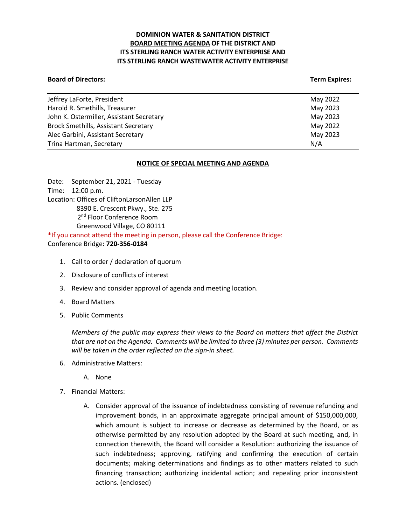## **DOMINION WATER & SANITATION DISTRICT BOARD MEETING AGENDA OF THE DISTRICT AND ITS STERLING RANCH WATER ACTIVITY ENTERPRISE AND ITS STERLING RANCH WASTEWATER ACTIVITY ENTERPRISE**

#### **Board of Directors:** Term Expires: Term Expires: Term Expires: Term Expires: Term Expires: Term Expires: Term Expires: Term Expires: Term Expires: Term Expires: Term Expires: Term Expires: Term Expires: Term Expires: Term

| May 2022 |
|----------|
| May 2023 |
| May 2023 |
| May 2022 |
| May 2023 |
| N/A      |
|          |

### **NOTICE OF SPECIAL MEETING AND AGENDA**

Date: September 21, 2021 - Tuesday Time: 12:00 p.m. Location: Offices of CliftonLarsonAllen LLP 8390 E. Crescent Pkwy., Ste. 275 2<sup>nd</sup> Floor Conference Room Greenwood Village, CO 80111 \*If you cannot attend the meeting in person, please call the Conference Bridge:

Conference Bridge: **720-356-0184**

- 1. Call to order / declaration of quorum
- 2. Disclosure of conflicts of interest
- 3. Review and consider approval of agenda and meeting location.
- 4. Board Matters
- 5. Public Comments

*Members of the public may express their views to the Board on matters that affect the District that are not on the Agenda. Comments will be limited to three (3) minutes per person. Comments will be taken in the order reflected on the sign-in sheet.* 

- 6. Administrative Matters:
	- A. None
- 7. Financial Matters:
	- A. Consider approval of the issuance of indebtedness consisting of revenue refunding and improvement bonds, in an approximate aggregate principal amount of \$150,000,000, which amount is subject to increase or decrease as determined by the Board, or as otherwise permitted by any resolution adopted by the Board at such meeting, and, in connection therewith, the Board will consider a Resolution: authorizing the issuance of such indebtedness; approving, ratifying and confirming the execution of certain documents; making determinations and findings as to other matters related to such financing transaction; authorizing incidental action; and repealing prior inconsistent actions. (enclosed)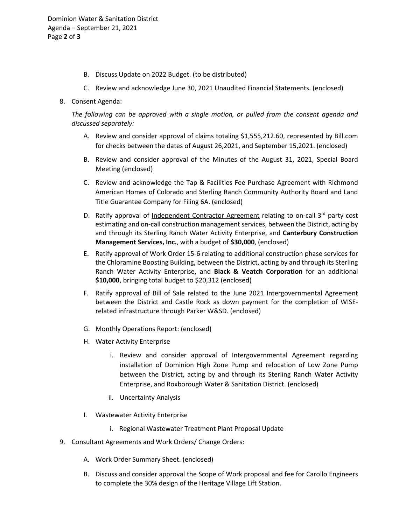- B. Discuss Update on 2022 Budget. (to be distributed)
- C. Review and acknowledge June 30, 2021 Unaudited Financial Statements. (enclosed)
- 8. Consent Agenda:

*The following can be approved with a single motion, or pulled from the consent agenda and discussed separately:*

- A. Review and consider approval of claims totaling \$1,555,212.60, represented by Bill.com for checks between the dates of August 26,2021, and September 15,2021. (enclosed)
- B. Review and consider approval of the Minutes of the August 31, 2021, Special Board Meeting (enclosed)
- C. Review and acknowledge the Tap & Facilities Fee Purchase Agreement with Richmond American Homes of Colorado and Sterling Ranch Community Authority Board and Land Title Guarantee Company for Filing 6A. (enclosed)
- D. Ratify approval of Independent Contractor Agreement relating to on-call 3<sup>rd</sup> party cost estimating and on-call construction management services, between the District, acting by and through its Sterling Ranch Water Activity Enterprise, and **Canterbury Construction Management Services, Inc.**, with a budget of **\$30,000**, (enclosed)
- E. Ratify approval of Work Order 15-6 relating to additional construction phase services for the Chloramine Boosting Building, between the District, acting by and through its Sterling Ranch Water Activity Enterprise, and **Black & Veatch Corporation** for an additional **\$10,000**, bringing total budget to \$20,312 (enclosed)
- F. Ratify approval of Bill of Sale related to the June 2021 Intergovernmental Agreement between the District and Castle Rock as down payment for the completion of WISErelated infrastructure through Parker W&SD. (enclosed)
- G. Monthly Operations Report: (enclosed)
- H. Water Activity Enterprise
	- i. Review and consider approval of Intergovernmental Agreement regarding installation of Dominion High Zone Pump and relocation of Low Zone Pump between the District, acting by and through its Sterling Ranch Water Activity Enterprise, and Roxborough Water & Sanitation District. (enclosed)
	- ii. Uncertainty Analysis
- I. Wastewater Activity Enterprise
	- i. Regional Wastewater Treatment Plant Proposal Update
- 9. Consultant Agreements and Work Orders/ Change Orders:
	- A. Work Order Summary Sheet. (enclosed)
	- B. Discuss and consider approval the Scope of Work proposal and fee for Carollo Engineers to complete the 30% design of the Heritage Village Lift Station.